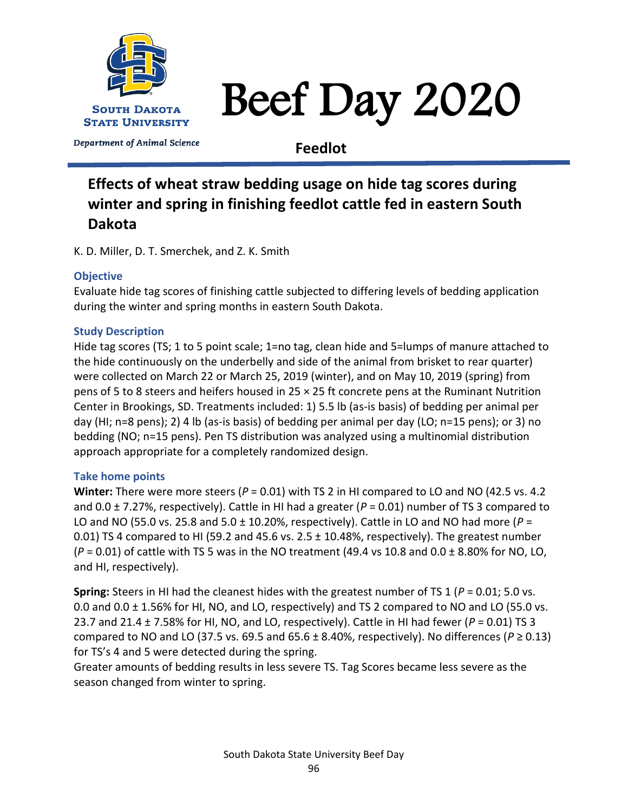

# Beef Day 2020

Department of Animal Science

**Feedlot**

## **Effects of wheat straw bedding usage on hide tag scores during winter and spring in finishing feedlot cattle fed in eastern South Dakota**

K. D. Miller, D. T. Smerchek, and Z. K. Smith

### **Objective**

Evaluate hide tag scores of finishing cattle subjected to differing levels of bedding application during the winter and spring months in eastern South Dakota.

#### **Study Description**

Hide tag scores (TS; 1 to 5 point scale; 1=no tag, clean hide and 5=lumps of manure attached to the hide continuously on the underbelly and side of the animal from brisket to rear quarter) were collected on March 22 or March 25, 2019 (winter), and on May 10, 2019 (spring) from pens of 5 to 8 steers and heifers housed in 25 × 25 ft concrete pens at the Ruminant Nutrition Center in Brookings, SD. Treatments included: 1) 5.5 lb (as-is basis) of bedding per animal per day (HI; n=8 pens); 2) 4 lb (as-is basis) of bedding per animal per day (LO; n=15 pens); or 3) no bedding (NO; n=15 pens). Pen TS distribution was analyzed using a multinomial distribution approach appropriate for a completely randomized design.

#### **Take home points**

**Winter:** There were more steers (*P* = 0.01) with TS 2 in HI compared to LO and NO (42.5 vs. 4.2 and 0.0 ± 7.27%, respectively). Cattle in HI had a greater (*P* = 0.01) number of TS 3 compared to LO and NO (55.0 vs. 25.8 and 5.0 ± 10.20%, respectively). Cattle in LO and NO had more (*P* = 0.01) TS 4 compared to HI (59.2 and 45.6 vs.  $2.5 \pm 10.48$ %, respectively). The greatest number (*P* = 0.01) of cattle with TS 5 was in the NO treatment (49.4 vs 10.8 and 0.0 ± 8.80% for NO, LO, and HI, respectively).

**Spring:** Steers in HI had the cleanest hides with the greatest number of TS 1 (*P* = 0.01; 5.0 vs. 0.0 and 0.0 ± 1.56% for HI, NO, and LO, respectively) and TS 2 compared to NO and LO (55.0 vs. 23.7 and 21.4 ± 7.58% for HI, NO, and LO, respectively). Cattle in HI had fewer (*P* = 0.01) TS 3 compared to NO and LO (37.5 vs. 69.5 and 65.6  $\pm$  8.40%, respectively). No differences ( $P \ge 0.13$ ) for TS's 4 and 5 were detected during the spring.

Greater amounts of bedding results in less severe TS. Tag Scores became less severe as the season changed from winter to spring.